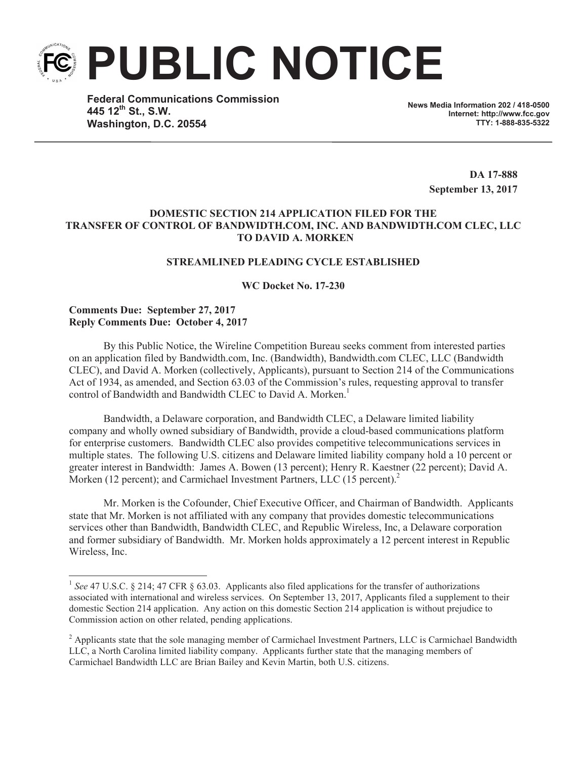**PUBLIC NOTICE**

**Federal Communications Commission 445 12th St., S.W. Washington, D.C. 20554**

**News Media Information 202 / 418-0500 Internet: http://www.fcc.gov TTY: 1-888-835-5322**

> **DA 17-888 September 13, 2017**

## **DOMESTIC SECTION 214 APPLICATION FILED FOR THE TRANSFER OF CONTROL OF BANDWIDTH.COM, INC. AND BANDWIDTH.COM CLEC, LLC TO DAVID A. MORKEN**

# **STREAMLINED PLEADING CYCLE ESTABLISHED**

#### **WC Docket No. 17-230**

## **Comments Due: September 27, 2017 Reply Comments Due: October 4, 2017**

By this Public Notice, the Wireline Competition Bureau seeks comment from interested parties on an application filed by Bandwidth.com, Inc. (Bandwidth), Bandwidth.com CLEC, LLC (Bandwidth CLEC), and David A. Morken (collectively, Applicants), pursuant to Section 214 of the Communications Act of 1934, as amended, and Section 63.03 of the Commission's rules, requesting approval to transfer control of Bandwidth and Bandwidth CLEC to David A. Morken.<sup>1</sup>

Bandwidth, a Delaware corporation, and Bandwidth CLEC, a Delaware limited liability company and wholly owned subsidiary of Bandwidth, provide a cloud-based communications platform for enterprise customers. Bandwidth CLEC also provides competitive telecommunications services in multiple states. The following U.S. citizens and Delaware limited liability company hold a 10 percent or greater interest in Bandwidth: James A. Bowen (13 percent); Henry R. Kaestner (22 percent); David A. Morken (12 percent); and Carmichael Investment Partners, LLC (15 percent).<sup>2</sup>

Mr. Morken is the Cofounder, Chief Executive Officer, and Chairman of Bandwidth. Applicants state that Mr. Morken is not affiliated with any company that provides domestic telecommunications services other than Bandwidth, Bandwidth CLEC, and Republic Wireless, Inc, a Delaware corporation and former subsidiary of Bandwidth. Mr. Morken holds approximately a 12 percent interest in Republic Wireless, Inc.

<sup>&</sup>lt;sup>1</sup> See 47 U.S.C. § 214; 47 CFR § 63.03. Applicants also filed applications for the transfer of authorizations associated with international and wireless services. On September 13, 2017, Applicants filed a supplement to their domestic Section 214 application. Any action on this domestic Section 214 application is without prejudice to Commission action on other related, pending applications.

<sup>&</sup>lt;sup>2</sup> Applicants state that the sole managing member of Carmichael Investment Partners, LLC is Carmichael Bandwidth LLC, a North Carolina limited liability company. Applicants further state that the managing members of Carmichael Bandwidth LLC are Brian Bailey and Kevin Martin, both U.S. citizens.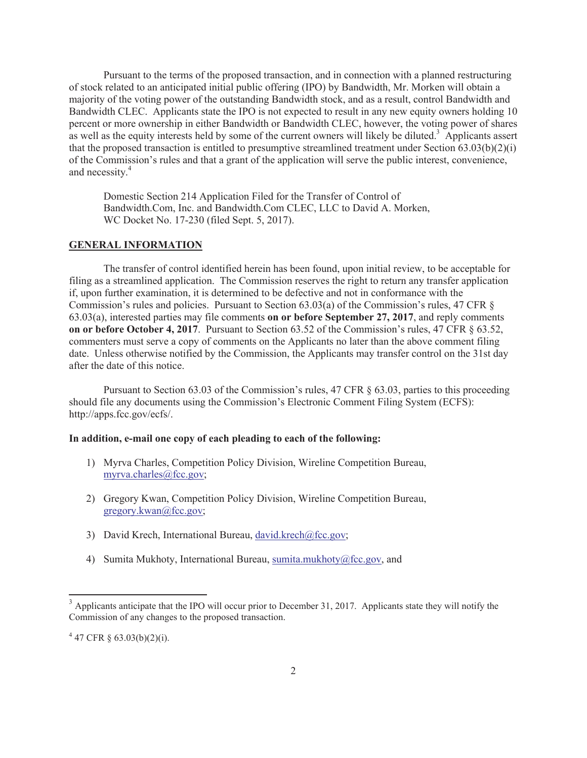Pursuant to the terms of the proposed transaction, and in connection with a planned restructuring of stock related to an anticipated initial public offering (IPO) by Bandwidth, Mr. Morken will obtain a majority of the voting power of the outstanding Bandwidth stock, and as a result, control Bandwidth and Bandwidth CLEC. Applicants state the IPO is not expected to result in any new equity owners holding 10 percent or more ownership in either Bandwidth or Bandwidth CLEC, however, the voting power of shares as well as the equity interests held by some of the current owners will likely be diluted.<sup>3</sup> Applicants assert that the proposed transaction is entitled to presumptive streamlined treatment under Section 63.03(b)(2)(i) of the Commission's rules and that a grant of the application will serve the public interest, convenience, and necessity. 4

Domestic Section 214 Application Filed for the Transfer of Control of Bandwidth.Com, Inc. and Bandwidth.Com CLEC, LLC to David A. Morken, WC Docket No. 17-230 (filed Sept. 5, 2017).

#### **GENERAL INFORMATION**

The transfer of control identified herein has been found, upon initial review, to be acceptable for filing as a streamlined application. The Commission reserves the right to return any transfer application if, upon further examination, it is determined to be defective and not in conformance with the Commission's rules and policies. Pursuant to Section 63.03(a) of the Commission's rules, 47 CFR § 63.03(a), interested parties may file comments **on or before September 27, 2017**, and reply comments **on or before October 4, 2017**. Pursuant to Section 63.52 of the Commission's rules, 47 CFR § 63.52, commenters must serve a copy of comments on the Applicants no later than the above comment filing date. Unless otherwise notified by the Commission, the Applicants may transfer control on the 31st day after the date of this notice.

Pursuant to Section 63.03 of the Commission's rules, 47 CFR § 63.03, parties to this proceeding should file any documents using the Commission's Electronic Comment Filing System (ECFS): http://apps.fcc.gov/ecfs/.

## **In addition, e-mail one copy of each pleading to each of the following:**

- 1) Myrva Charles, Competition Policy Division, Wireline Competition Bureau, myrva.charles@fcc.gov;
- 2) Gregory Kwan, Competition Policy Division, Wireline Competition Bureau, gregory.kwan@fcc.gov;
- 3) David Krech, International Bureau, david.krech@fcc.gov;
- 4) Sumita Mukhoty, International Bureau, sumita.mukhoty@fcc.gov, and

 $3$  Applicants anticipate that the IPO will occur prior to December 31, 2017. Applicants state they will notify the Commission of any changes to the proposed transaction.

 $4\,47$  CFR § 63.03(b)(2)(i).